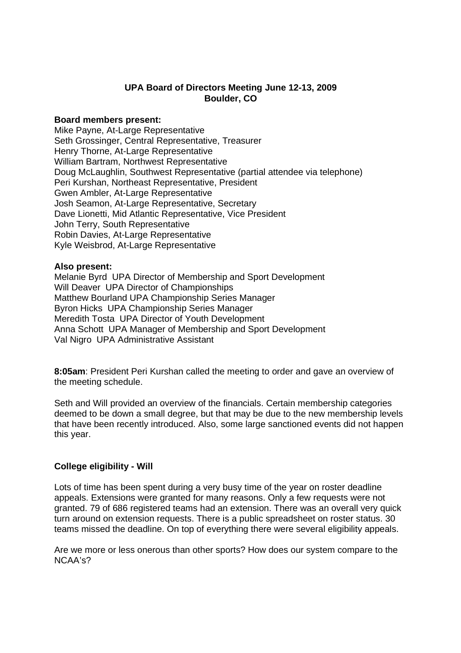## **UPA Board of Directors Meeting June 12-13, 2009 Boulder, CO**

#### **Board members present:**

Mike Payne, At-Large Representative Seth Grossinger, Central Representative, Treasurer Henry Thorne, At-Large Representative William Bartram, Northwest Representative Doug McLaughlin, Southwest Representative (partial attendee via telephone) Peri Kurshan, Northeast Representative, President Gwen Ambler, At-Large Representative Josh Seamon, At-Large Representative, Secretary Dave Lionetti, Mid Atlantic Representative, Vice President John Terry, South Representative Robin Davies, At-Large Representative Kyle Weisbrod, At-Large Representative

#### **Also present:**

Melanie Byrd UPA Director of Membership and Sport Development Will Deaver UPA Director of Championships Matthew Bourland UPA Championship Series Manager Byron Hicks UPA Championship Series Manager Meredith Tosta UPA Director of Youth Development Anna Schott UPA Manager of Membership and Sport Development Val Nigro UPA Administrative Assistant

**8:05am**: President Peri Kurshan called the meeting to order and gave an overview of the meeting schedule.

Seth and Will provided an overview of the financials. Certain membership categories deemed to be down a small degree, but that may be due to the new membership levels that have been recently introduced. Also, some large sanctioned events did not happen this year.

### **College eligibility - Will**

Lots of time has been spent during a very busy time of the year on roster deadline appeals. Extensions were granted for many reasons. Only a few requests were not granted. 79 of 686 registered teams had an extension. There was an overall very quick turn around on extension requests. There is a public spreadsheet on roster status. 30 teams missed the deadline. On top of everything there were several eligibility appeals.

Are we more or less onerous than other sports? How does our system compare to the NCAA's?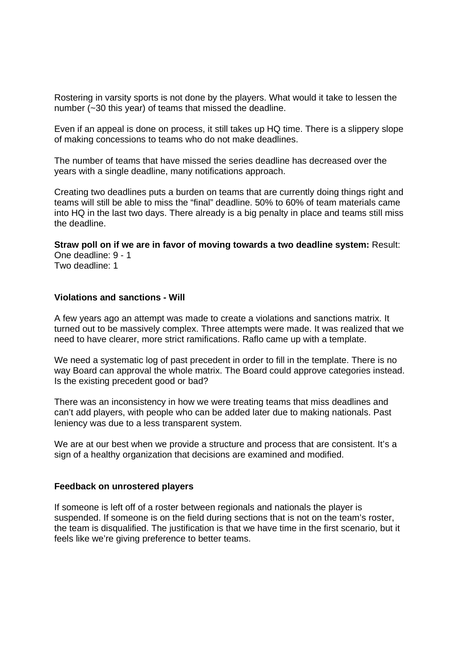Rostering in varsity sports is not done by the players. What would it take to lessen the number (~30 this year) of teams that missed the deadline.

Even if an appeal is done on process, it still takes up HQ time. There is a slippery slope of making concessions to teams who do not make deadlines.

The number of teams that have missed the series deadline has decreased over the years with a single deadline, many notifications approach.

Creating two deadlines puts a burden on teams that are currently doing things right and teams will still be able to miss the "final" deadline. 50% to 60% of team materials came into HQ in the last two days. There already is a big penalty in place and teams still miss the deadline.

**Straw poll on if we are in favor of moving towards a two deadline system:** Result: One deadline: 9 - 1 Two deadline: 1

#### **Violations and sanctions - Will**

A few years ago an attempt was made to create a violations and sanctions matrix. It turned out to be massively complex. Three attempts were made. It was realized that we need to have clearer, more strict ramifications. Raflo came up with a template.

We need a systematic log of past precedent in order to fill in the template. There is no way Board can approval the whole matrix. The Board could approve categories instead. Is the existing precedent good or bad?

There was an inconsistency in how we were treating teams that miss deadlines and can't add players, with people who can be added later due to making nationals. Past leniency was due to a less transparent system.

We are at our best when we provide a structure and process that are consistent. It's a sign of a healthy organization that decisions are examined and modified.

#### **Feedback on unrostered players**

If someone is left off of a roster between regionals and nationals the player is suspended. If someone is on the field during sections that is not on the team's roster, the team is disqualified. The justification is that we have time in the first scenario, but it feels like we're giving preference to better teams.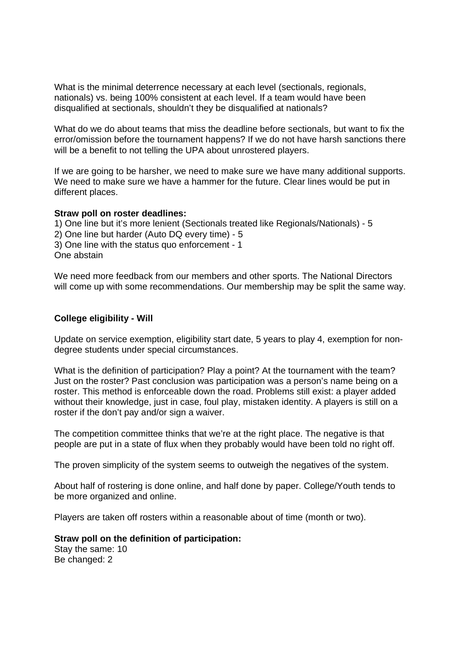What is the minimal deterrence necessary at each level (sectionals, regionals, nationals) vs. being 100% consistent at each level. If a team would have been disqualified at sectionals, shouldn't they be disqualified at nationals?

What do we do about teams that miss the deadline before sectionals, but want to fix the error/omission before the tournament happens? If we do not have harsh sanctions there will be a benefit to not telling the UPA about unrostered players.

If we are going to be harsher, we need to make sure we have many additional supports. We need to make sure we have a hammer for the future. Clear lines would be put in different places.

#### **Straw poll on roster deadlines:**

1) One line but it's more lenient (Sectionals treated like Regionals/Nationals) - 5 2) One line but harder (Auto DQ every time) - 5 3) One line with the status quo enforcement - 1 One abstain

We need more feedback from our members and other sports. The National Directors will come up with some recommendations. Our membership may be split the same way.

### **College eligibility - Will**

Update on service exemption, eligibility start date, 5 years to play 4, exemption for nondegree students under special circumstances.

What is the definition of participation? Play a point? At the tournament with the team? Just on the roster? Past conclusion was participation was a person's name being on a roster. This method is enforceable down the road. Problems still exist: a player added without their knowledge, just in case, foul play, mistaken identity. A players is still on a roster if the don't pay and/or sign a waiver.

The competition committee thinks that we're at the right place. The negative is that people are put in a state of flux when they probably would have been told no right off.

The proven simplicity of the system seems to outweigh the negatives of the system.

About half of rostering is done online, and half done by paper. College/Youth tends to be more organized and online.

Players are taken off rosters within a reasonable about of time (month or two).

**Straw poll on the definition of participation:** 

Stay the same: 10 Be changed: 2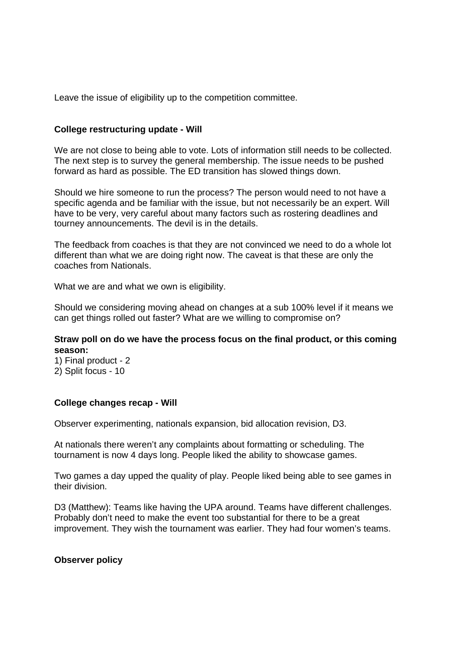Leave the issue of eligibility up to the competition committee.

### **College restructuring update - Will**

We are not close to being able to vote. Lots of information still needs to be collected. The next step is to survey the general membership. The issue needs to be pushed forward as hard as possible. The ED transition has slowed things down.

Should we hire someone to run the process? The person would need to not have a specific agenda and be familiar with the issue, but not necessarily be an expert. Will have to be very, very careful about many factors such as rostering deadlines and tourney announcements. The devil is in the details.

The feedback from coaches is that they are not convinced we need to do a whole lot different than what we are doing right now. The caveat is that these are only the coaches from Nationals.

What we are and what we own is eligibility.

Should we considering moving ahead on changes at a sub 100% level if it means we can get things rolled out faster? What are we willing to compromise on?

### **Straw poll on do we have the process focus on the final product, or this coming season:**

1) Final product - 2 2) Split focus - 10

#### **College changes recap - Will**

Observer experimenting, nationals expansion, bid allocation revision, D3.

At nationals there weren't any complaints about formatting or scheduling. The tournament is now 4 days long. People liked the ability to showcase games.

Two games a day upped the quality of play. People liked being able to see games in their division.

D3 (Matthew): Teams like having the UPA around. Teams have different challenges. Probably don't need to make the event too substantial for there to be a great improvement. They wish the tournament was earlier. They had four women's teams.

#### **Observer policy**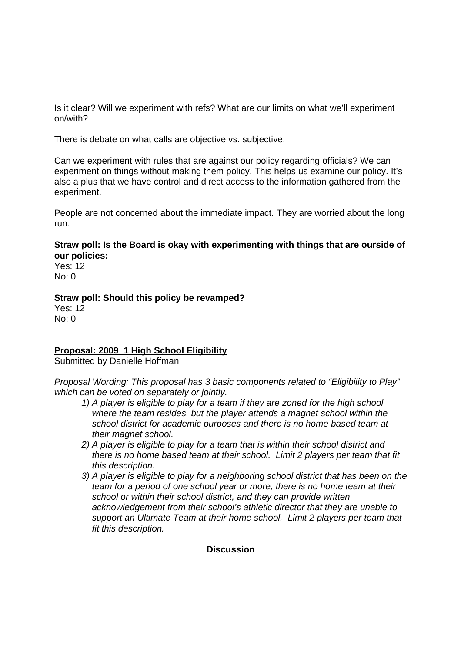Is it clear? Will we experiment with refs? What are our limits on what we'll experiment on/with?

There is debate on what calls are objective vs. subjective.

Can we experiment with rules that are against our policy regarding officials? We can experiment on things without making them policy. This helps us examine our policy. It's also a plus that we have control and direct access to the information gathered from the experiment.

People are not concerned about the immediate impact. They are worried about the long run.

**Straw poll: Is the Board is okay with experimenting with things that are ourside of our policies:** 

Yes: 12 No: 0

## **Straw poll: Should this policy be revamped?**

Yes: 12  $N<sub>0</sub>$ : 0

# **Proposal: 2009\_1 High School Eligibility**

Submitted by Danielle Hoffman

Proposal Wording: This proposal has 3 basic components related to "Eligibility to Play" which can be voted on separately or jointly.

- 1) A player is eligible to play for a team if they are zoned for the high school where the team resides, but the player attends a magnet school within the school district for academic purposes and there is no home based team at their magnet school.
- 2) A player is eligible to play for a team that is within their school district and there is no home based team at their school. Limit 2 players per team that fit this description.
- 3) A player is eligible to play for a neighboring school district that has been on the team for a period of one school year or more, there is no home team at their school or within their school district, and they can provide written acknowledgement from their school's athletic director that they are unable to support an Ultimate Team at their home school. Limit 2 players per team that fit this description.

### **Discussion**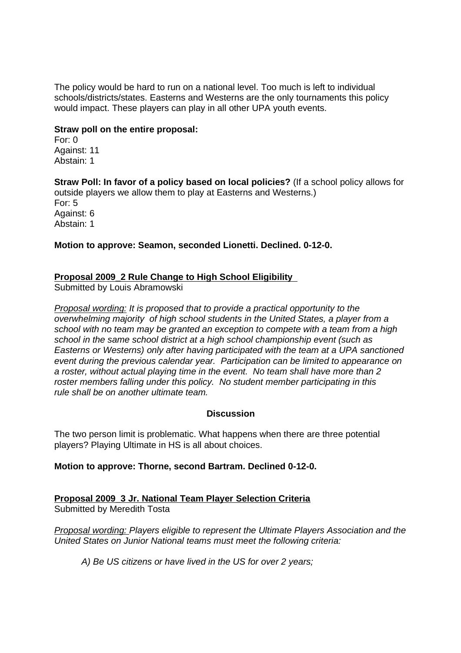The policy would be hard to run on a national level. Too much is left to individual schools/districts/states. Easterns and Westerns are the only tournaments this policy would impact. These players can play in all other UPA youth events.

### **Straw poll on the entire proposal:**

For: 0 Against: 11 Abstain: 1

**Straw Poll: In favor of a policy based on local policies?** (If a school policy allows for outside players we allow them to play at Easterns and Westerns.) For: 5 Against: 6 Abstain: 1

**Motion to approve: Seamon, seconded Lionetti. Declined. 0-12-0.** 

### **Proposal 2009\_2 Rule Change to High School Eligibility**

Submitted by Louis Abramowski

Proposal wording: It is proposed that to provide a practical opportunity to the overwhelming majority of high school students in the United States, a player from a school with no team may be granted an exception to compete with a team from a high school in the same school district at a high school championship event (such as Easterns or Westerns) only after having participated with the team at a UPA sanctioned event during the previous calendar year. Participation can be limited to appearance on a roster, without actual playing time in the event. No team shall have more than 2 roster members falling under this policy. No student member participating in this rule shall be on another ultimate team.

#### **Discussion**

The two person limit is problematic. What happens when there are three potential players? Playing Ultimate in HS is all about choices.

#### **Motion to approve: Thorne, second Bartram. Declined 0-12-0.**

**Proposal 2009\_3 Jr. National Team Player Selection Criteria** Submitted by Meredith Tosta

Proposal wording: Players eligible to represent the Ultimate Players Association and the United States on Junior National teams must meet the following criteria:

A) Be US citizens or have lived in the US for over 2 years;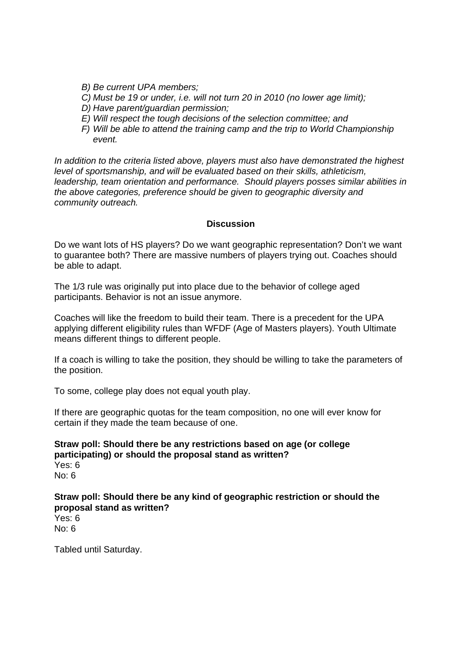B) Be current UPA members;

- C) Must be 19 or under, i.e. will not turn 20 in 2010 (no lower age limit);
- D) Have parent/guardian permission;
- E) Will respect the tough decisions of the selection committee; and
- F) Will be able to attend the training camp and the trip to World Championship event.

In addition to the criteria listed above, players must also have demonstrated the highest level of sportsmanship, and will be evaluated based on their skills, athleticism, leadership, team orientation and performance. Should players posses similar abilities in the above categories, preference should be given to geographic diversity and community outreach.

### **Discussion**

Do we want lots of HS players? Do we want geographic representation? Don't we want to guarantee both? There are massive numbers of players trying out. Coaches should be able to adapt.

The 1/3 rule was originally put into place due to the behavior of college aged participants. Behavior is not an issue anymore.

Coaches will like the freedom to build their team. There is a precedent for the UPA applying different eligibility rules than WFDF (Age of Masters players). Youth Ultimate means different things to different people.

If a coach is willing to take the position, they should be willing to take the parameters of the position.

To some, college play does not equal youth play.

If there are geographic quotas for the team composition, no one will ever know for certain if they made the team because of one.

# **Straw poll: Should there be any restrictions based on age (or college participating) or should the proposal stand as written?**

Yes: 6 No: 6

**Straw poll: Should there be any kind of geographic restriction or should the proposal stand as written?**  Yes: 6 No: 6

Tabled until Saturday.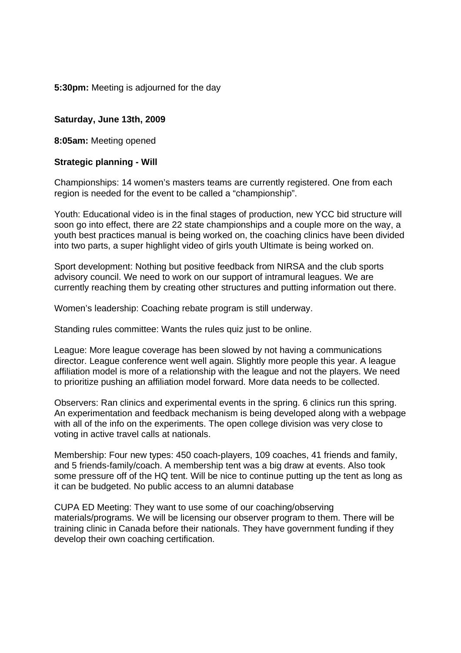**5:30pm:** Meeting is adjourned for the day

### **Saturday, June 13th, 2009**

**8:05am:** Meeting opened

### **Strategic planning - Will**

Championships: 14 women's masters teams are currently registered. One from each region is needed for the event to be called a "championship".

Youth: Educational video is in the final stages of production, new YCC bid structure will soon go into effect, there are 22 state championships and a couple more on the way, a youth best practices manual is being worked on, the coaching clinics have been divided into two parts, a super highlight video of girls youth Ultimate is being worked on.

Sport development: Nothing but positive feedback from NIRSA and the club sports advisory council. We need to work on our support of intramural leagues. We are currently reaching them by creating other structures and putting information out there.

Women's leadership: Coaching rebate program is still underway.

Standing rules committee: Wants the rules quiz just to be online.

League: More league coverage has been slowed by not having a communications director. League conference went well again. Slightly more people this year. A league affiliation model is more of a relationship with the league and not the players. We need to prioritize pushing an affiliation model forward. More data needs to be collected.

Observers: Ran clinics and experimental events in the spring. 6 clinics run this spring. An experimentation and feedback mechanism is being developed along with a webpage with all of the info on the experiments. The open college division was very close to voting in active travel calls at nationals.

Membership: Four new types: 450 coach-players, 109 coaches, 41 friends and family, and 5 friends-family/coach. A membership tent was a big draw at events. Also took some pressure off of the HQ tent. Will be nice to continue putting up the tent as long as it can be budgeted. No public access to an alumni database

CUPA ED Meeting: They want to use some of our coaching/observing materials/programs. We will be licensing our observer program to them. There will be training clinic in Canada before their nationals. They have government funding if they develop their own coaching certification.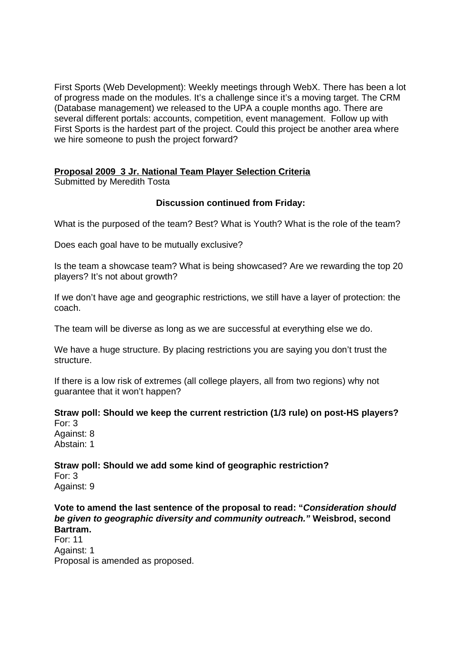First Sports (Web Development): Weekly meetings through WebX. There has been a lot of progress made on the modules. It's a challenge since it's a moving target. The CRM (Database management) we released to the UPA a couple months ago. There are several different portals: accounts, competition, event management. Follow up with First Sports is the hardest part of the project. Could this project be another area where we hire someone to push the project forward?

### **Proposal 2009\_3 Jr. National Team Player Selection Criteria**

Submitted by Meredith Tosta

### **Discussion continued from Friday:**

What is the purposed of the team? Best? What is Youth? What is the role of the team?

Does each goal have to be mutually exclusive?

Is the team a showcase team? What is being showcased? Are we rewarding the top 20 players? It's not about growth?

If we don't have age and geographic restrictions, we still have a layer of protection: the coach.

The team will be diverse as long as we are successful at everything else we do.

We have a huge structure. By placing restrictions you are saying you don't trust the structure.

If there is a low risk of extremes (all college players, all from two regions) why not guarantee that it won't happen?

**Straw poll: Should we keep the current restriction (1/3 rule) on post-HS players?**  For: 3

Against: 8 Abstain: 1

**Straw poll: Should we add some kind of geographic restriction?**  For: 3 Against: 9

**Vote to amend the last sentence of the proposal to read: "Consideration should be given to geographic diversity and community outreach." Weisbrod, second Bartram.** 

For: 11 Against: 1 Proposal is amended as proposed.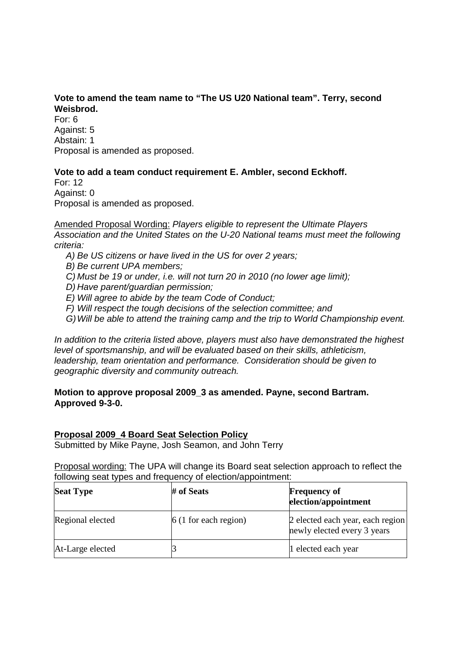## **Vote to amend the team name to "The US U20 National team". Terry, second Weisbrod.**

For: 6 Against: 5 Abstain: 1 Proposal is amended as proposed.

### **Vote to add a team conduct requirement E. Ambler, second Eckhoff.**

For: 12 Against: 0

Proposal is amended as proposed.

Amended Proposal Wording: Players eligible to represent the Ultimate Players Association and the United States on the U-20 National teams must meet the following criteria:

- A) Be US citizens or have lived in the US for over 2 years;
- B) Be current UPA members;
- C) Must be 19 or under, i.e. will not turn 20 in 2010 (no lower age limit);
- D) Have parent/guardian permission;
- E) Will agree to abide by the team Code of Conduct;
- F) Will respect the tough decisions of the selection committee; and
- G) Will be able to attend the training camp and the trip to World Championship event.

In addition to the criteria listed above, players must also have demonstrated the highest level of sportsmanship, and will be evaluated based on their skills, athleticism, leadership, team orientation and performance. Consideration should be given to geographic diversity and community outreach.

### **Motion to approve proposal 2009\_3 as amended. Payne, second Bartram. Approved 9-3-0.**

### **Proposal 2009\_4 Board Seat Selection Policy**

Submitted by Mike Payne, Josh Seamon, and John Terry

Proposal wording: The UPA will change its Board seat selection approach to reflect the following seat types and frequency of election/appointment:

| <b>Seat Type</b> | # of Seats              | <b>Frequency of</b><br>election/appointment                     |  |
|------------------|-------------------------|-----------------------------------------------------------------|--|
| Regional elected | $6(1)$ for each region) | 2 elected each year, each region<br>newly elected every 3 years |  |
| At-Large elected |                         | 1 elected each year                                             |  |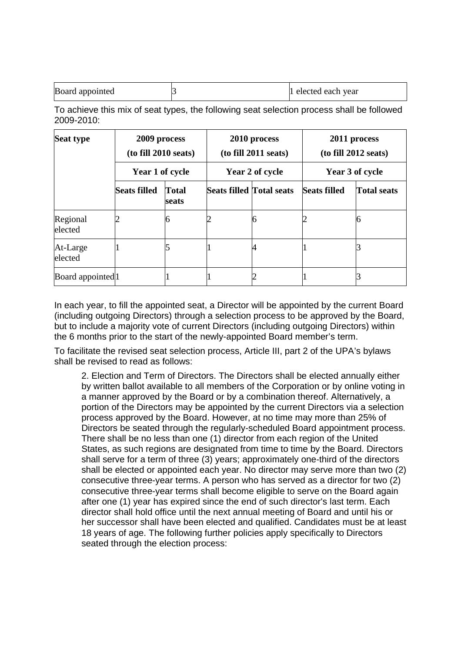| Board appointed | 1 elected each year |
|-----------------|---------------------|
|                 |                     |

To achieve this mix of seat types, the following seat selection process shall be followed 2009-2010:

| <b>Seat type</b>               | 2009 process<br>(to fill 2010 seats)<br>Year 1 of cycle |                       | 2010 process<br>(to fill 2011 seats)<br>Year 2 of cycle |  | 2011 process<br>(to fill 2012 seats)<br>Year 3 of cycle |                    |
|--------------------------------|---------------------------------------------------------|-----------------------|---------------------------------------------------------|--|---------------------------------------------------------|--------------------|
|                                |                                                         |                       |                                                         |  |                                                         |                    |
|                                | <b>Seats filled</b>                                     | <b>Total</b><br>seats | <b>Seats filled Total seats</b>                         |  | <b>Seats filled</b>                                     | <b>Total seats</b> |
| Regional<br>elected            |                                                         |                       |                                                         |  |                                                         |                    |
| At-Large<br>elected            |                                                         |                       |                                                         |  |                                                         |                    |
| Board appointed <sup>[1]</sup> |                                                         |                       |                                                         |  |                                                         |                    |

In each year, to fill the appointed seat, a Director will be appointed by the current Board (including outgoing Directors) through a selection process to be approved by the Board, but to include a majority vote of current Directors (including outgoing Directors) within the 6 months prior to the start of the newly-appointed Board member's term.

To facilitate the revised seat selection process, Article III, part 2 of the UPA's bylaws shall be revised to read as follows:

2. Election and Term of Directors. The Directors shall be elected annually either by written ballot available to all members of the Corporation or by online voting in a manner approved by the Board or by a combination thereof. Alternatively, a portion of the Directors may be appointed by the current Directors via a selection process approved by the Board. However, at no time may more than 25% of Directors be seated through the regularly-scheduled Board appointment process. There shall be no less than one (1) director from each region of the United States, as such regions are designated from time to time by the Board. Directors shall serve for a term of three (3) years; approximately one-third of the directors shall be elected or appointed each year. No director may serve more than two (2) consecutive three-year terms. A person who has served as a director for two (2) consecutive three-year terms shall become eligible to serve on the Board again after one (1) year has expired since the end of such director's last term. Each director shall hold office until the next annual meeting of Board and until his or her successor shall have been elected and qualified. Candidates must be at least 18 years of age. The following further policies apply specifically to Directors seated through the election process: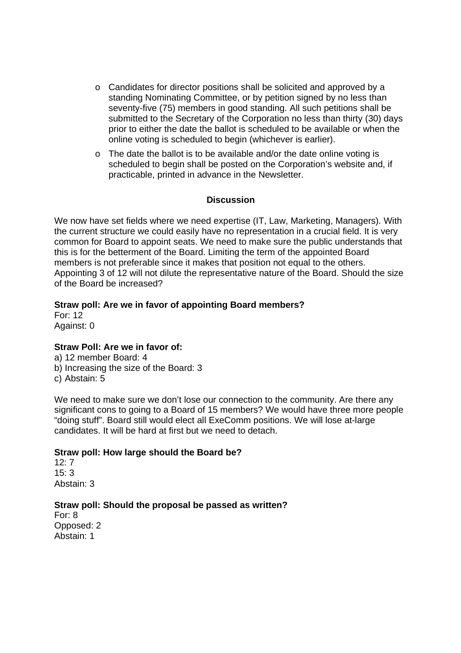- o Candidates for director positions shall be solicited and approved by a standing Nominating Committee, or by petition signed by no less than seventy-five (75) members in good standing. All such petitions shall be submitted to the Secretary of the Corporation no less than thirty (30) days prior to either the date the ballot is scheduled to be available or when the online voting is scheduled to begin (whichever is earlier).
- o The date the ballot is to be available and/or the date online voting is scheduled to begin shall be posted on the Corporation's website and, if practicable, printed in advance in the Newsletter.

### **Discussion**

We now have set fields where we need expertise (IT, Law, Marketing, Managers). With the current structure we could easily have no representation in a crucial field. It is very common for Board to appoint seats. We need to make sure the public understands that this is for the betterment of the Board. Limiting the term of the appointed Board members is not preferable since it makes that position not equal to the others. Appointing 3 of 12 will not dilute the representative nature of the Board. Should the size of the Board be increased?

### **Straw poll: Are we in favor of appointing Board members?**

For: 12 Against: 0

#### **Straw Poll: Are we in favor of:**

a) 12 member Board: 4 b) Increasing the size of the Board: 3 c) Abstain: 5

We need to make sure we don't lose our connection to the community. Are there any significant cons to going to a Board of 15 members? We would have three more people "doing stuff". Board still would elect all ExeComm positions. We will lose at-large candidates. It will be hard at first but we need to detach.

#### **Straw poll: How large should the Board be?**

12: 7  $15.3$ Abstain: 3

### **Straw poll: Should the proposal be passed as written?**

For: 8 Opposed: 2 Abstain: 1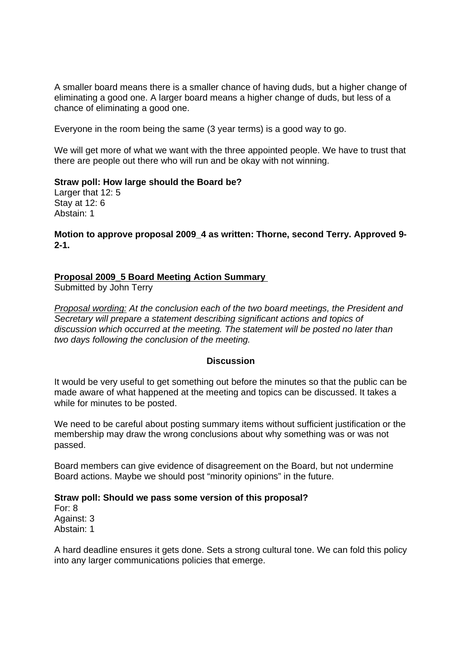A smaller board means there is a smaller chance of having duds, but a higher change of eliminating a good one. A larger board means a higher change of duds, but less of a chance of eliminating a good one.

Everyone in the room being the same (3 year terms) is a good way to go.

We will get more of what we want with the three appointed people. We have to trust that there are people out there who will run and be okay with not winning.

**Straw poll: How large should the Board be?**  Larger that 12: 5 Stay at 12: 6 Abstain: 1

**Motion to approve proposal 2009\_4 as written: Thorne, second Terry. Approved 9- 2-1.** 

#### **Proposal 2009\_5 Board Meeting Action Summary**

Submitted by John Terry

Proposal wording: At the conclusion each of the two board meetings, the President and Secretary will prepare a statement describing significant actions and topics of discussion which occurred at the meeting. The statement will be posted no later than two days following the conclusion of the meeting.

#### **Discussion**

It would be very useful to get something out before the minutes so that the public can be made aware of what happened at the meeting and topics can be discussed. It takes a while for minutes to be posted.

We need to be careful about posting summary items without sufficient justification or the membership may draw the wrong conclusions about why something was or was not passed.

Board members can give evidence of disagreement on the Board, but not undermine Board actions. Maybe we should post "minority opinions" in the future.

#### **Straw poll: Should we pass some version of this proposal?**

For: 8 Against: 3 Abstain: 1

A hard deadline ensures it gets done. Sets a strong cultural tone. We can fold this policy into any larger communications policies that emerge.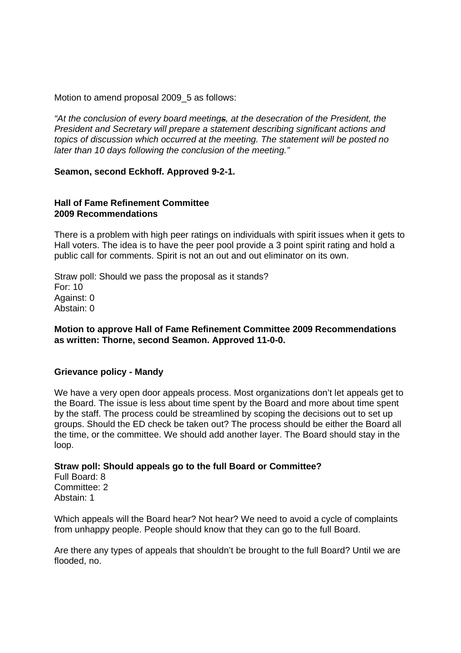Motion to amend proposal 2009 5 as follows:

"At the conclusion of every board meetings, at the desecration of the President, the President and Secretary will prepare a statement describing significant actions and topics of discussion which occurred at the meeting. The statement will be posted no later than 10 days following the conclusion of the meeting."

#### **Seamon, second Eckhoff. Approved 9-2-1.**

#### **Hall of Fame Refinement Committee 2009 Recommendations**

There is a problem with high peer ratings on individuals with spirit issues when it gets to Hall voters. The idea is to have the peer pool provide a 3 point spirit rating and hold a public call for comments. Spirit is not an out and out eliminator on its own.

Straw poll: Should we pass the proposal as it stands? For: 10 Against: 0 Abstain: 0

#### **Motion to approve Hall of Fame Refinement Committee 2009 Recommendations as written: Thorne, second Seamon. Approved 11-0-0.**

#### **Grievance policy - Mandy**

We have a very open door appeals process. Most organizations don't let appeals get to the Board. The issue is less about time spent by the Board and more about time spent by the staff. The process could be streamlined by scoping the decisions out to set up groups. Should the ED check be taken out? The process should be either the Board all the time, or the committee. We should add another layer. The Board should stay in the loop.

#### **Straw poll: Should appeals go to the full Board or Committee?**

Full Board: 8 Committee: 2 Abstain: 1

Which appeals will the Board hear? Not hear? We need to avoid a cycle of complaints from unhappy people. People should know that they can go to the full Board.

Are there any types of appeals that shouldn't be brought to the full Board? Until we are flooded, no.